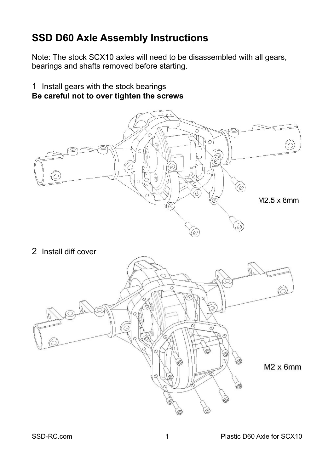# **SSD D60 Axle Assembly Instructions**

Note: The stock SCX10 axles will need to be disassembled with all gears, bearings and shafts removed before starting.

1 Install gears with the stock bearings **Be careful not to over tighten the screws**



2 Install diff cover

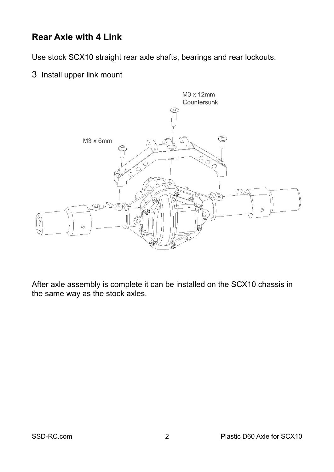### **Rear Axle with 4 Link**

Use stock SCX10 straight rear axle shafts, bearings and rear lockouts.

3 Install upper link mount



After axle assembly is complete it can be installed on the SCX10 chassis in the same way as the stock axles.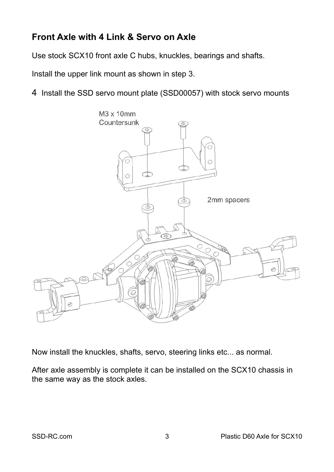## **Front Axle with 4 Link & Servo on Axle**

Use stock SCX10 front axle C hubs, knuckles, bearings and shafts.

Install the upper link mount as shown in step 3.

4 Install the SSD servo mount plate (SSD00057) with stock servo mounts



Now install the knuckles, shafts, servo, steering links etc... as normal.

After axle assembly is complete it can be installed on the SCX10 chassis in the same way as the stock axles.